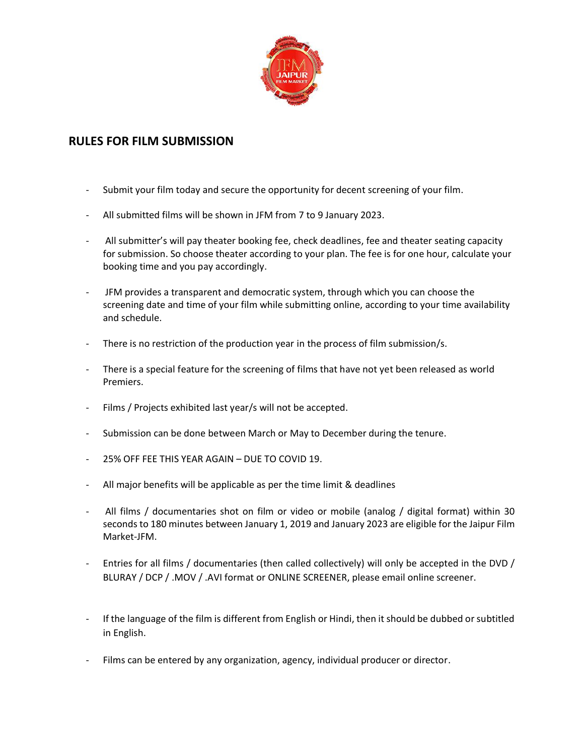

# **RULES FOR FILM SUBMISSION**

- Submit your film today and secure the opportunity for decent screening of your film.
- All submitted films will be shown in JFM from 7 to 9 January 2023.
- All submitter's will pay theater booking fee, check deadlines, fee and theater seating capacity for submission. So choose theater according to your plan. The fee is for one hour, calculate your booking time and you pay accordingly.
- JFM provides a transparent and democratic system, through which you can choose the screening date and time of your film while submitting online, according to your time availability and schedule.
- There is no restriction of the production year in the process of film submission/s.
- There is a special feature for the screening of films that have not yet been released as world Premiers.
- Films / Projects exhibited last year/s will not be accepted.
- Submission can be done between March or May to December during the tenure.
- 25% OFF FEE THIS YEAR AGAIN DUE TO COVID 19.
- All major benefits will be applicable as per the time limit & deadlines
- All films / documentaries shot on film or video or mobile (analog / digital format) within 30 seconds to 180 minutes between January 1, 2019 and January 2023 are eligible for the Jaipur Film Market-JFM.
- Entries for all films / documentaries (then called collectively) will only be accepted in the DVD / BLURAY / DCP / .MOV / .AVI format or ONLINE SCREENER, please email online screener.
- If the language of the film is different from English or Hindi, then it should be dubbed or subtitled in English.
- Films can be entered by any organization, agency, individual producer or director.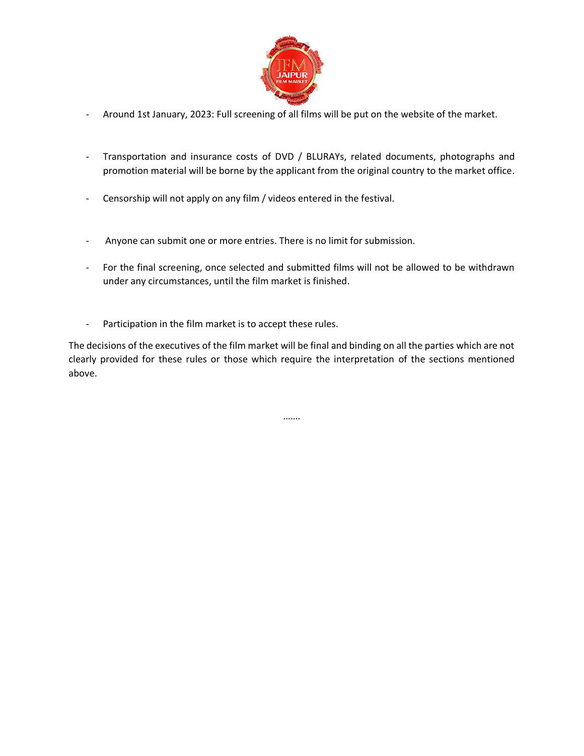

- Around 1st January, 2023: Full screening of all films will be put on the website of the market.
- Transportation and insurance costs of DVD / BLURAYs, related documents, photographs and promotion material will be borne by the applicant from the original country to the market office.
- Censorship will not apply on any film / videos entered in the festival.
- Anyone can submit one or more entries. There is no limit for submission.
- For the final screening, once selected and submitted films will not be allowed to be withdrawn under any circumstances, until the film market is finished.
- Participation in the film market is to accept these rules.

The decisions of the executives of the film market will be final and binding on all the parties which are not clearly provided for these rules or those which require the interpretation of the sections mentioned above.

…….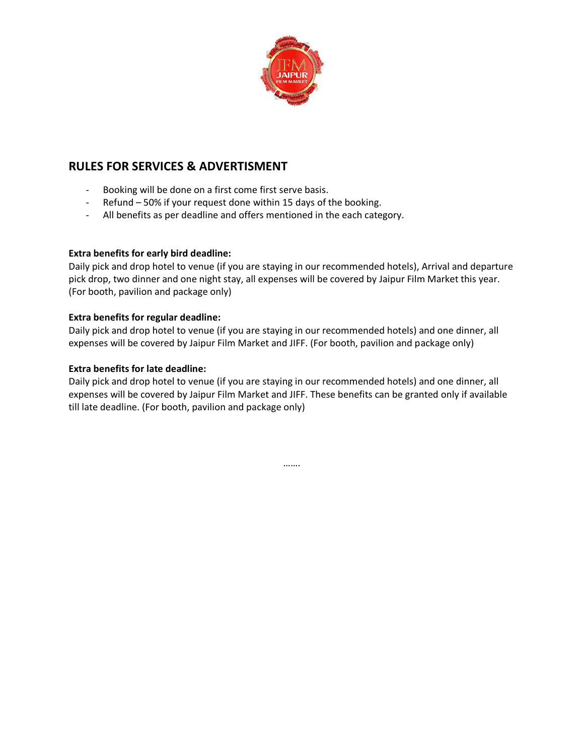

# **RULES FOR SERVICES & ADVERTISMENT**

- Booking will be done on a first come first serve basis.
- Refund 50% if your request done within 15 days of the booking.
- All benefits as per deadline and offers mentioned in the each category.

## **Extra benefits for early bird deadline:**

Daily pick and drop hotel to venue (if you are staying in our recommended hotels), Arrival and departure pick drop, two dinner and one night stay, all expenses will be covered by Jaipur Film Market this year. (For booth, pavilion and package only)

## **Extra benefits for regular deadline:**

Daily pick and drop hotel to venue (if you are staying in our recommended hotels) and one dinner, all expenses will be covered by Jaipur Film Market and JIFF. (For booth, pavilion and package only)

#### **Extra benefits for late deadline:**

Daily pick and drop hotel to venue (if you are staying in our recommended hotels) and one dinner, all expenses will be covered by Jaipur Film Market and JIFF. These benefits can be granted only if available till late deadline. (For booth, pavilion and package only)

…….